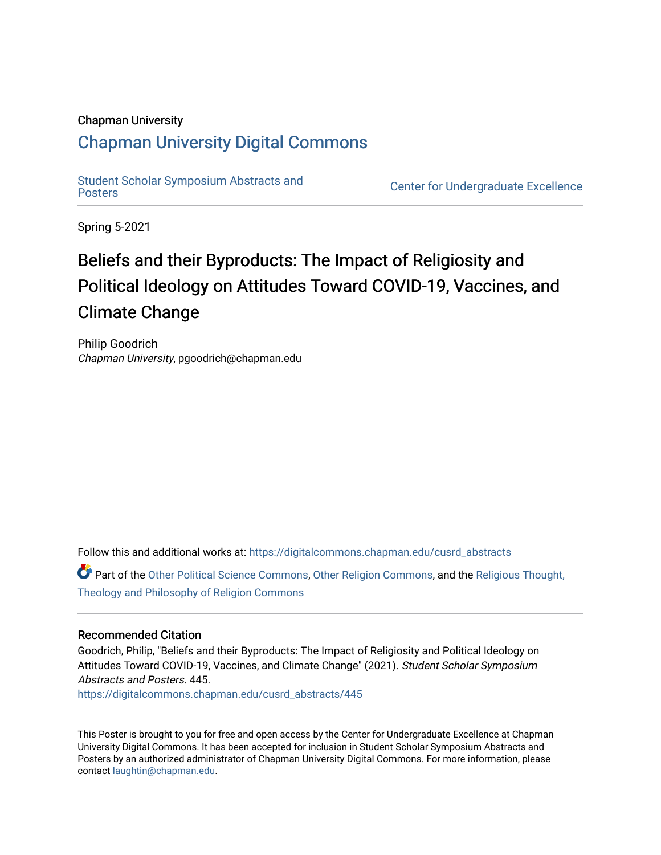#### Chapman University

#### [Chapman University Digital Commons](https://digitalcommons.chapman.edu/)

[Student Scholar Symposium Abstracts and](https://digitalcommons.chapman.edu/cusrd_abstracts) 

**Center for Undergraduate Excellence** 

Spring 5-2021

#### Beliefs and their Byproducts: The Impact of Religiosity and Political Ideology on Attitudes Toward COVID-19, Vaccines, and Climate Change

Philip Goodrich Chapman University, pgoodrich@chapman.edu

Follow this and additional works at: [https://digitalcommons.chapman.edu/cusrd\\_abstracts](https://digitalcommons.chapman.edu/cusrd_abstracts?utm_source=digitalcommons.chapman.edu%2Fcusrd_abstracts%2F445&utm_medium=PDF&utm_campaign=PDFCoverPages) 

Part of the [Other Political Science Commons,](http://network.bepress.com/hgg/discipline/392?utm_source=digitalcommons.chapman.edu%2Fcusrd_abstracts%2F445&utm_medium=PDF&utm_campaign=PDFCoverPages) [Other Religion Commons](http://network.bepress.com/hgg/discipline/545?utm_source=digitalcommons.chapman.edu%2Fcusrd_abstracts%2F445&utm_medium=PDF&utm_campaign=PDFCoverPages), and the [Religious Thought,](http://network.bepress.com/hgg/discipline/544?utm_source=digitalcommons.chapman.edu%2Fcusrd_abstracts%2F445&utm_medium=PDF&utm_campaign=PDFCoverPages) [Theology and Philosophy of Religion Commons](http://network.bepress.com/hgg/discipline/544?utm_source=digitalcommons.chapman.edu%2Fcusrd_abstracts%2F445&utm_medium=PDF&utm_campaign=PDFCoverPages) 

#### Recommended Citation

Goodrich, Philip, "Beliefs and their Byproducts: The Impact of Religiosity and Political Ideology on Attitudes Toward COVID-19, Vaccines, and Climate Change" (2021). Student Scholar Symposium Abstracts and Posters. 445.

[https://digitalcommons.chapman.edu/cusrd\\_abstracts/445](https://digitalcommons.chapman.edu/cusrd_abstracts/445?utm_source=digitalcommons.chapman.edu%2Fcusrd_abstracts%2F445&utm_medium=PDF&utm_campaign=PDFCoverPages) 

This Poster is brought to you for free and open access by the Center for Undergraduate Excellence at Chapman University Digital Commons. It has been accepted for inclusion in Student Scholar Symposium Abstracts and Posters by an authorized administrator of Chapman University Digital Commons. For more information, please contact [laughtin@chapman.edu](mailto:laughtin@chapman.edu).